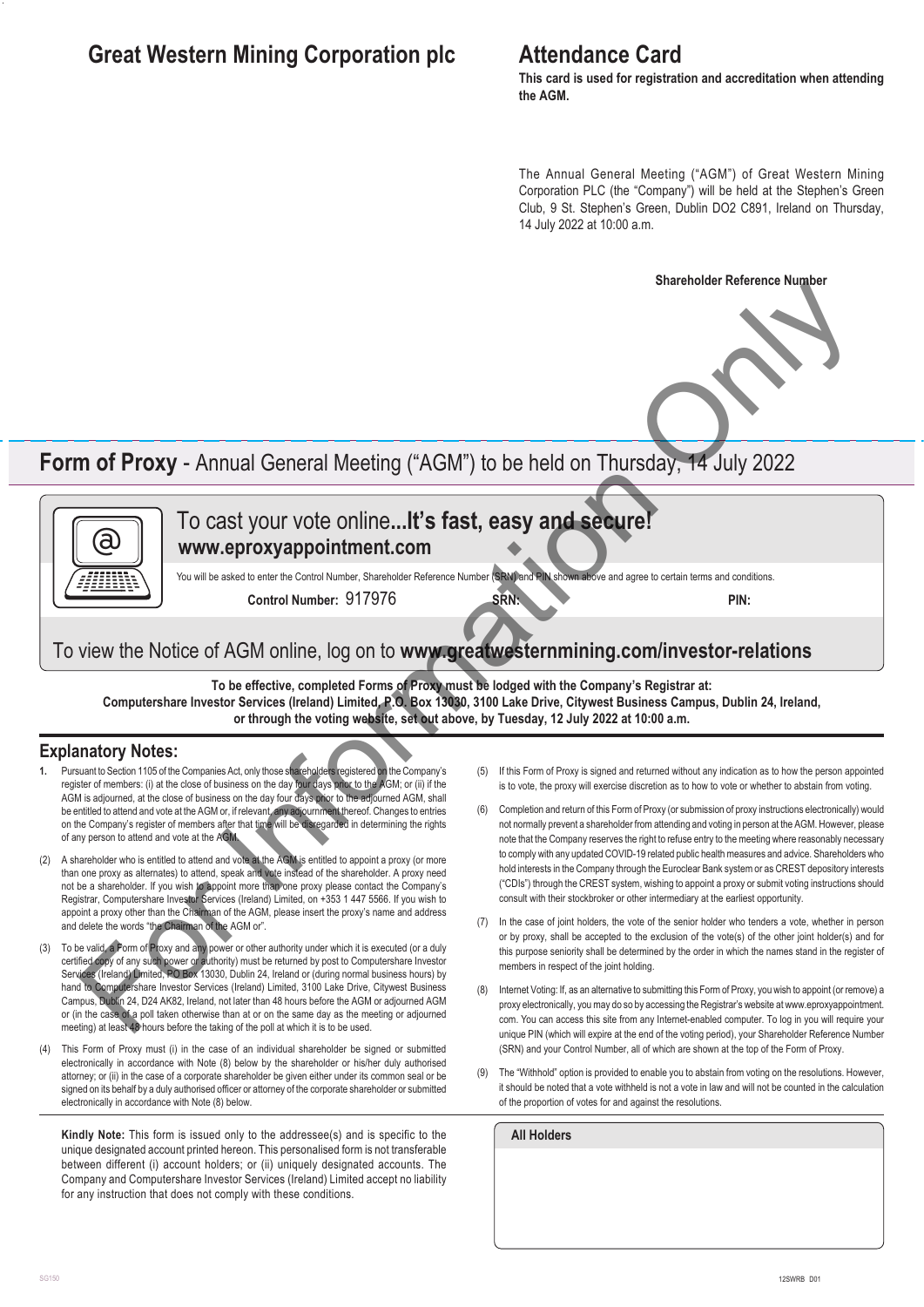# **Great Western Mining Corporation plc**

### **Attendance Card**

**This card is used for registration and accreditation when attending the AGM.**

The Annual General Meeting ("AGM") of Great Western Mining Corporation PLC (the "Company") will be held at the Stephen's Green Club, 9 St. Stephen's Green, Dublin DO2 C891, Ireland on Thursday, 14 July 2022 at 10:00 a.m.

#### **Shareholder Reference Number**



# **Form of Proxy** - Annual General Meeting ("AGM") to be held on Thursday, 14 July 2022



### To cast your vote online**...It's fast, easy and secure! www.eproxyappointment.com**

You will be asked to enter the Control Number, Shareholder Reference Number (SRN) and PIN shown above and agree to certain terms and conditions

**Control Number:** 917976 **SRN: PIN:**

### To view the Notice of AGM online, log on to **www.greatwesternmining.com/investor-relations**

**To be effective, completed Forms of Proxy must be lodged with the Company's Registrar at: Computershare Investor Services (Ireland) Limited, P.O. Box 13030, 3100 Lake Drive, Citywest Business Campus, Dublin 24, Ireland, or through the voting website, set out above, by Tuesday, 12 July 2022 at 10:00 a.m.**

### **Explanatory Notes:**

- **1.** Pursuant to Section 1105 of the Companies Act, only those shareholders registered on the Company's register of members: (i) at the close of business on the day four days prior to the AGM; or (ii) if the AGM is adjourned, at the close of business on the day four days prior to the adjourned AGM, shall be entitled to attend and vote at the AGM or, if relevant, any adjournment thereof. Changes to entries on the Company's register of members after that time will be disregarded in determining the rights of any person to attend and vote at the AGM
- (2) A shareholder who is entitled to attend and vote at the AGM is entitled to appoint a proxy (or more than one proxy as alternates) to attend, speak and vote instead of the shareholder. A proxy need not be a shareholder. If you wish to appoint more than one proxy please contact the Company's Registrar, Computershare Investor Services (Ireland) Limited, on +353 1 447 5566. If you wish to appoint a proxy other than the Chairman of the AGM, please insert the proxy's name and address and delete the words "the Chairman of the AGM or".
- (3) To be valid, a Form of Proxy and any power or other authority under which it is executed (or a duly certified copy of any such power or authority) must be returned by post to Computershare Investor Services (Ireland) Limited, PO Box 13030, Dublin 24, Ireland or (during normal business hours) by hand to Computershare Investor Services (Ireland) Limited, 3100 Lake Drive, Citywest Business Campus, Dublin 24, D24 AK82, Ireland, not later than 48 hours before the AGM or adjourned AGM or (in the case of a poll taken otherwise than at or on the same day as the meeting or adjourned meeting) at least 48 hours before the taking of the poll at which it is to be used.
- This Form of Proxy must (i) in the case of an individual shareholder be signed or submitted electronically in accordance with Note (8) below by the shareholder or his/her duly authorised attorney; or (ii) in the case of a corporate shareholder be given either under its common seal or be signed on its behalf by a duly authorised officer or attorney of the corporate shareholder or submitted electronically in accordance with Note (8) below.

**Kindly Note:** This form is issued only to the addressee(s) and is specific to the unique designated account printed hereon. This personalised form is not transferable between different (i) account holders; or (ii) uniquely designated accounts. The Company and Computershare Investor Services (Ireland) Limited accept no liability for any instruction that does not comply with these conditions.

- (5) If this Form of Proxy is signed and returned without any indication as to how the person appointed is to vote, the proxy will exercise discretion as to how to vote or whether to abstain from voting.
- (6) Completion and return of this Form of Proxy (or submission of proxy instructions electronically) would not normally prevent a shareholder from attending and voting in person at the AGM. However, please note that the Company reserves the right to refuse entry to the meeting where reasonably necessary to comply with any updated COVID-19 related public health measures and advice. Shareholders who hold interests in the Company through the Euroclear Bank system or as CREST depository interests ("CDIs") through the CREST system, wishing to appoint a proxy or submit voting instructions should consult with their stockbroker or other intermediary at the earliest opportunity. **The Countries of AGM of the Countries (AGM)** to be held on Thursday, 14 July 2022<br>
To cast your vote online...It's fast, easy and seture?<br>
www.eproxyappointment.com<br>
Countries and the country of the Countries (AGM) is th
	- In the case of joint holders, the vote of the senior holder who tenders a vote, whether in person or by proxy, shall be accepted to the exclusion of the vote(s) of the other joint holder(s) and for this purpose seniority shall be determined by the order in which the names stand in the register of members in respect of the joint holding.
	- (8) Internet Voting: If, as an alternative to submitting this Form of Proxy, you wish to appoint (or remove) a proxy electronically, you may do so by accessing the Registrar's website at www.eproxyappointment. com. You can access this site from any Internet-enabled computer. To log in you will require your unique PIN (which will expire at the end of the voting period), your Shareholder Reference Number (SRN) and your Control Number, all of which are shown at the top of the Form of Proxy.
	- (9) The "Withhold" option is provided to enable you to abstain from voting on the resolutions. However, it should be noted that a vote withheld is not a vote in law and will not be counted in the calculation of the proportion of votes for and against the resolutions.